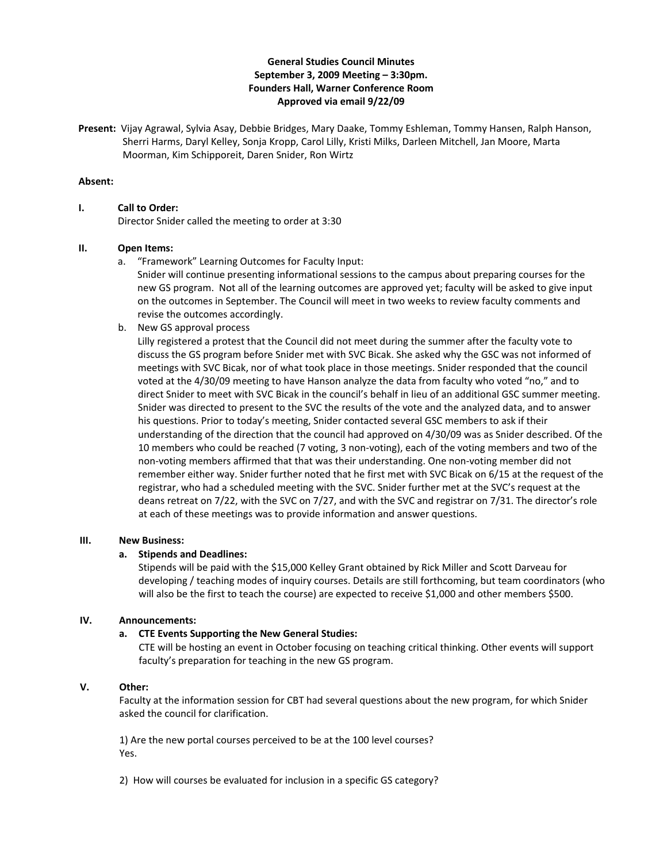# **General Studies Council Minutes September 3, 2009 Meeting – 3:30pm. Founders Hall, Warner Conference Room Approved via email 9/22/09**

**Present:** Vijay Agrawal, Sylvia Asay, Debbie Bridges, Mary Daake, Tommy Eshleman, Tommy Hansen, Ralph Hanson, Sherri Harms, Daryl Kelley, Sonja Kropp, Carol Lilly, Kristi Milks, Darleen Mitchell, Jan Moore, Marta Moorman, Kim Schipporeit, Daren Snider, Ron Wirtz

### **Absent:**

### **I. Call to Order:**

Director Snider called the meeting to order at 3:30

### **II. Open Items:**

a. "Framework" Learning Outcomes for Faculty Input:

Snider will continue presenting informational sessions to the campus about preparing courses for the new GS program. Not all of the learning outcomes are approved yet; faculty will be asked to give input on the outcomes in September. The Council will meet in two weeks to review faculty comments and revise the outcomes accordingly.

b. New GS approval process

Lilly registered a protest that the Council did not meet during the summer after the faculty vote to discuss the GS program before Snider met with SVC Bicak. She asked why the GSC was not informed of meetings with SVC Bicak, nor of what took place in those meetings. Snider responded that the council voted at the 4/30/09 meeting to have Hanson analyze the data from faculty who voted "no," and to direct Snider to meet with SVC Bicak in the council's behalf in lieu of an additional GSC summer meeting. Snider was directed to present to the SVC the results of the vote and the analyzed data, and to answer his questions. Prior to today's meeting, Snider contacted several GSC members to ask if their understanding of the direction that the council had approved on 4/30/09 was as Snider described. Of the 10 members who could be reached (7 voting, 3 non‐voting), each of the voting members and two of the non‐voting members affirmed that that was their understanding. One non‐voting member did not remember either way. Snider further noted that he first met with SVC Bicak on 6/15 at the request of the registrar, who had a scheduled meeting with the SVC. Snider further met at the SVC's request at the deans retreat on 7/22, with the SVC on 7/27, and with the SVC and registrar on 7/31. The director's role at each of these meetings was to provide information and answer questions.

#### **III. New Business:**

#### **a. Stipends and Deadlines:**

Stipends will be paid with the \$15,000 Kelley Grant obtained by Rick Miller and Scott Darveau for developing / teaching modes of inquiry courses. Details are still forthcoming, but team coordinators (who will also be the first to teach the course) are expected to receive \$1,000 and other members \$500.

## **IV. Announcements:**

## **a. CTE Events Supporting the New General Studies:**

CTE will be hosting an event in October focusing on teaching critical thinking. Other events will support faculty's preparation for teaching in the new GS program.

#### **V. Other:**

Faculty at the information session for CBT had several questions about the new program, for which Snider asked the council for clarification.

1) Are the new portal courses perceived to be at the 100 level courses? Yes.

2) How will courses be evaluated for inclusion in a specific GS category?